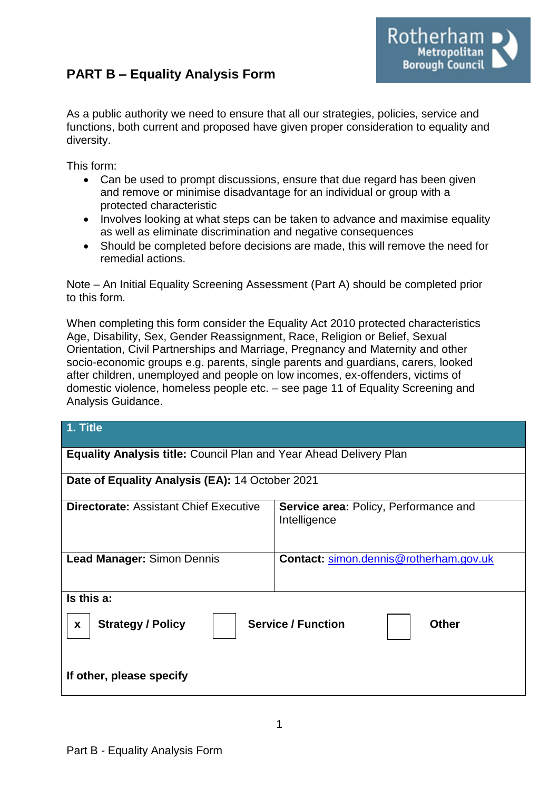# **PART B – Equality Analysis Form**



As a public authority we need to ensure that all our strategies, policies, service and functions, both current and proposed have given proper consideration to equality and diversity.

This form:

- Can be used to prompt discussions, ensure that due regard has been given and remove or minimise disadvantage for an individual or group with a protected characteristic
- Involves looking at what steps can be taken to advance and maximise equality as well as eliminate discrimination and negative consequences
- Should be completed before decisions are made, this will remove the need for remedial actions.

Note – An Initial Equality Screening Assessment (Part A) should be completed prior to this form.

When completing this form consider the Equality Act 2010 protected characteristics Age, Disability, Sex, Gender Reassignment, Race, Religion or Belief, Sexual Orientation, Civil Partnerships and Marriage, Pregnancy and Maternity and other socio-economic groups e.g. parents, single parents and guardians, carers, looked after children, unemployed and people on low incomes, ex-offenders, victims of domestic violence, homeless people etc. – see page 11 of Equality Screening and Analysis Guidance.

| 1. Title                                                                  |                                                              |
|---------------------------------------------------------------------------|--------------------------------------------------------------|
| <b>Equality Analysis title: Council Plan and Year Ahead Delivery Plan</b> |                                                              |
| Date of Equality Analysis (EA): 14 October 2021                           |                                                              |
| <b>Directorate: Assistant Chief Executive</b>                             | <b>Service area: Policy, Performance and</b><br>Intelligence |
| <b>Lead Manager: Simon Dennis</b>                                         | Contact: simon.dennis@rotherham.gov.uk                       |
| Is this a:                                                                |                                                              |
| <b>Strategy / Policy</b><br>X                                             | <b>Service / Function</b><br>Other                           |
| If other, please specify                                                  |                                                              |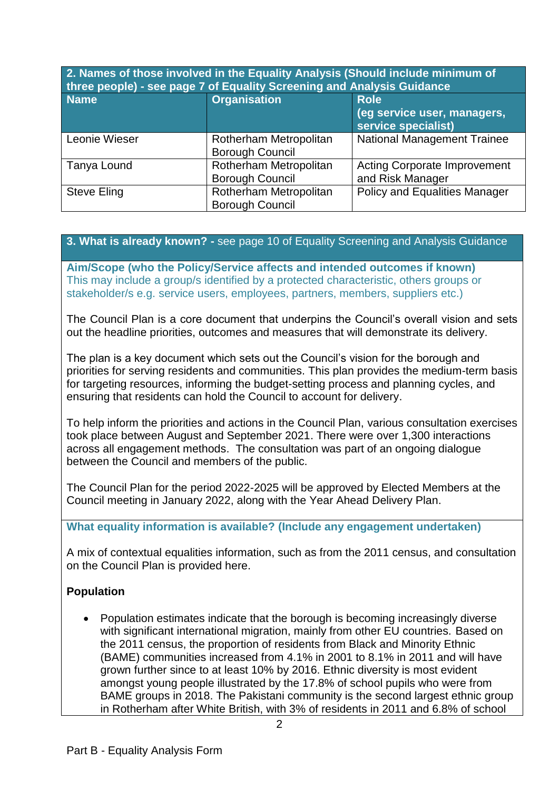| 2. Names of those involved in the Equality Analysis (Should include minimum of<br>three people) - see page 7 of Equality Screening and Analysis Guidance |                                                  |                                                                   |
|----------------------------------------------------------------------------------------------------------------------------------------------------------|--------------------------------------------------|-------------------------------------------------------------------|
| <b>Name</b>                                                                                                                                              | <b>Organisation</b>                              | <b>Role</b><br>(eg service user, managers,<br>service specialist) |
| Leonie Wieser                                                                                                                                            | Rotherham Metropolitan<br><b>Borough Council</b> | <b>National Management Trainee</b>                                |
| Tanya Lound                                                                                                                                              | Rotherham Metropolitan<br><b>Borough Council</b> | <b>Acting Corporate Improvement</b><br>and Risk Manager           |
| <b>Steve Eling</b>                                                                                                                                       | Rotherham Metropolitan<br><b>Borough Council</b> | <b>Policy and Equalities Manager</b>                              |

#### **3. What is already known? -** see page 10 of Equality Screening and Analysis Guidance

**Aim/Scope (who the Policy/Service affects and intended outcomes if known)** This may include a group/s identified by a protected characteristic, others groups or stakeholder/s e.g. service users, employees, partners, members, suppliers etc.)

The Council Plan is a core document that underpins the Council's overall vision and sets out the headline priorities, outcomes and measures that will demonstrate its delivery.

The plan is a key document which sets out the Council's vision for the borough and priorities for serving residents and communities. This plan provides the medium-term basis for targeting resources, informing the budget-setting process and planning cycles, and ensuring that residents can hold the Council to account for delivery.

To help inform the priorities and actions in the Council Plan, various consultation exercises took place between August and September 2021. There were over 1,300 interactions across all engagement methods. The consultation was part of an ongoing dialogue between the Council and members of the public.

The Council Plan for the period 2022-2025 will be approved by Elected Members at the Council meeting in January 2022, along with the Year Ahead Delivery Plan.

#### **What equality information is available? (Include any engagement undertaken)**

A mix of contextual equalities information, such as from the 2011 census, and consultation on the Council Plan is provided here.

#### **Population**

 Population estimates indicate that the borough is becoming increasingly diverse with significant international migration, mainly from other EU countries. Based on the 2011 census, the proportion of residents from Black and Minority Ethnic (BAME) communities increased from 4.1% in 2001 to 8.1% in 2011 and will have grown further since to at least 10% by 2016. Ethnic diversity is most evident amongst young people illustrated by the 17.8% of school pupils who were from BAME groups in 2018. The Pakistani community is the second largest ethnic group in Rotherham after White British, with 3% of residents in 2011 and 6.8% of school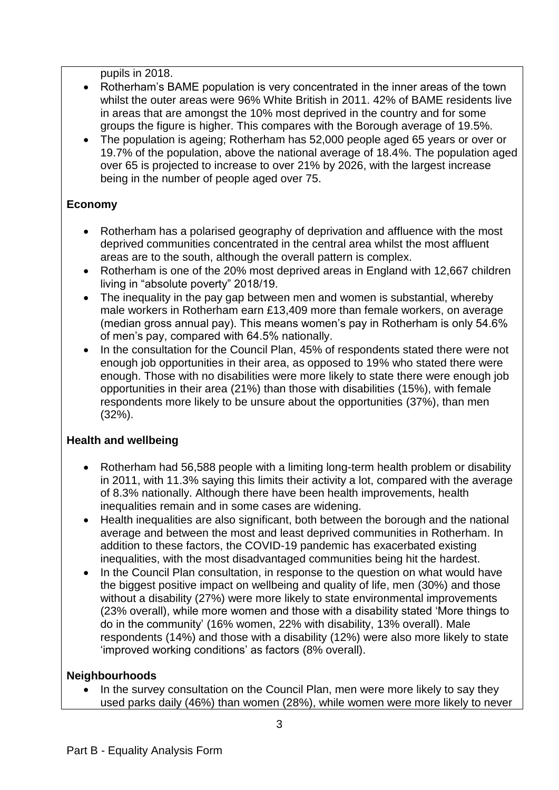pupils in 2018.

- Rotherham's BAME population is very concentrated in the inner areas of the town whilst the outer areas were 96% White British in 2011. 42% of BAME residents live in areas that are amongst the 10% most deprived in the country and for some groups the figure is higher. This compares with the Borough average of 19.5%.
- The population is ageing; Rotherham has 52,000 people aged 65 years or over or 19.7% of the population, above the national average of 18.4%. The population aged over 65 is projected to increase to over 21% by 2026, with the largest increase being in the number of people aged over 75.

# **Economy**

- Rotherham has a polarised geography of deprivation and affluence with the most deprived communities concentrated in the central area whilst the most affluent areas are to the south, although the overall pattern is complex.
- Rotherham is one of the 20% most deprived areas in England with 12,667 children living in "absolute poverty" 2018/19.
- The inequality in the pay gap between men and women is substantial, whereby male workers in Rotherham earn £13,409 more than female workers, on average (median gross annual pay). This means women's pay in Rotherham is only 54.6% of men's pay, compared with 64.5% nationally.
- In the consultation for the Council Plan, 45% of respondents stated there were not enough job opportunities in their area, as opposed to 19% who stated there were enough. Those with no disabilities were more likely to state there were enough job opportunities in their area (21%) than those with disabilities (15%), with female respondents more likely to be unsure about the opportunities (37%), than men (32%).

# **Health and wellbeing**

- Rotherham had 56,588 people with a limiting long-term health problem or disability in 2011, with 11.3% saying this limits their activity a lot, compared with the average of 8.3% nationally. Although there have been health improvements, health inequalities remain and in some cases are widening.
- Health inequalities are also significant, both between the borough and the national average and between the most and least deprived communities in Rotherham. In addition to these factors, the COVID-19 pandemic has exacerbated existing inequalities, with the most disadvantaged communities being hit the hardest.
- In the Council Plan consultation, in response to the question on what would have the biggest positive impact on wellbeing and quality of life, men (30%) and those without a disability (27%) were more likely to state environmental improvements (23% overall), while more women and those with a disability stated 'More things to do in the community' (16% women, 22% with disability, 13% overall). Male respondents (14%) and those with a disability (12%) were also more likely to state 'improved working conditions' as factors (8% overall).

### **Neighbourhoods**

• In the survey consultation on the Council Plan, men were more likely to say they used parks daily (46%) than women (28%), while women were more likely to never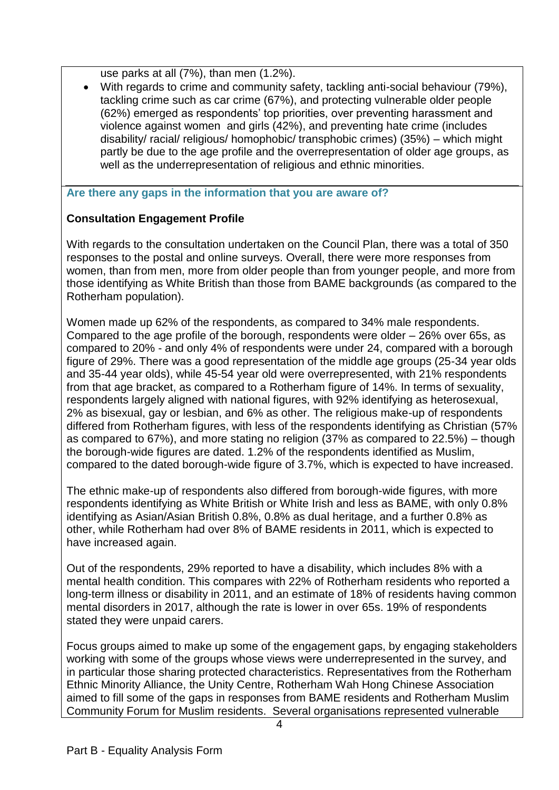use parks at all (7%), than men (1.2%).

 With regards to crime and community safety, tackling anti-social behaviour (79%), tackling crime such as car crime (67%), and protecting vulnerable older people (62%) emerged as respondents' top priorities, over preventing harassment and violence against women and girls (42%), and preventing hate crime (includes disability/ racial/ religious/ homophobic/ transphobic crimes) (35%) – which might partly be due to the age profile and the overrepresentation of older age groups, as well as the underrepresentation of religious and ethnic minorities.

**Are there any gaps in the information that you are aware of?**

# **Consultation Engagement Profile**

With regards to the consultation undertaken on the Council Plan, there was a total of 350 responses to the postal and online surveys. Overall, there were more responses from women, than from men, more from older people than from younger people, and more from those identifying as White British than those from BAME backgrounds (as compared to the Rotherham population).

Women made up 62% of the respondents, as compared to 34% male respondents. Compared to the age profile of the borough, respondents were older – 26% over 65s, as compared to 20% - and only 4% of respondents were under 24, compared with a borough figure of 29%. There was a good representation of the middle age groups (25-34 year olds and 35-44 year olds), while 45-54 year old were overrepresented, with 21% respondents from that age bracket, as compared to a Rotherham figure of 14%. In terms of sexuality, respondents largely aligned with national figures, with 92% identifying as heterosexual, 2% as bisexual, gay or lesbian, and 6% as other. The religious make-up of respondents differed from Rotherham figures, with less of the respondents identifying as Christian (57% as compared to 67%), and more stating no religion (37% as compared to 22.5%) – though the borough-wide figures are dated. 1.2% of the respondents identified as Muslim, compared to the dated borough-wide figure of 3.7%, which is expected to have increased.

The ethnic make-up of respondents also differed from borough-wide figures, with more respondents identifying as White British or White Irish and less as BAME, with only 0.8% identifying as Asian/Asian British 0.8%, 0.8% as dual heritage, and a further 0.8% as other, while Rotherham had over 8% of BAME residents in 2011, which is expected to have increased again.

Out of the respondents, 29% reported to have a disability, which includes 8% with a mental health condition. This compares with 22% of Rotherham residents who reported a long-term illness or disability in 2011, and an estimate of 18% of residents having common mental disorders in 2017, although the rate is lower in over 65s. 19% of respondents stated they were unpaid carers.

Focus groups aimed to make up some of the engagement gaps, by engaging stakeholders working with some of the groups whose views were underrepresented in the survey, and in particular those sharing protected characteristics. Representatives from the Rotherham Ethnic Minority Alliance, the Unity Centre, Rotherham Wah Hong Chinese Association aimed to fill some of the gaps in responses from BAME residents and Rotherham Muslim Community Forum for Muslim residents. Several organisations represented vulnerable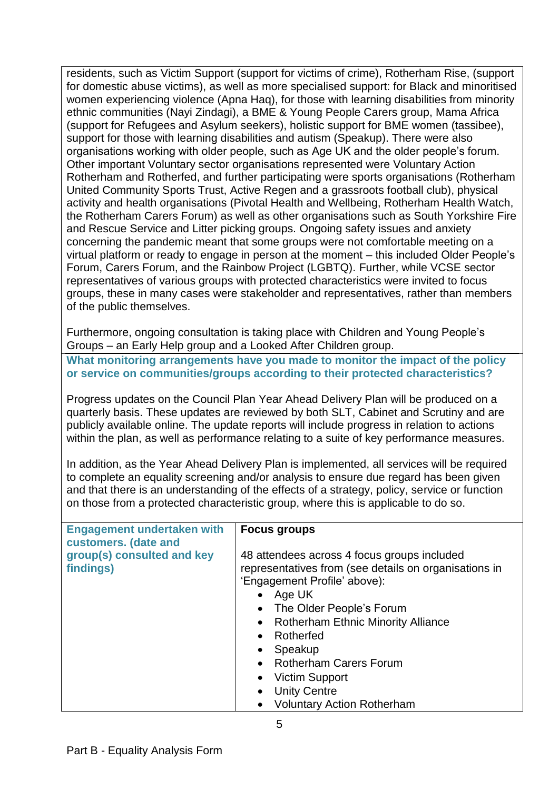residents, such as Victim Support (support for victims of crime), Rotherham Rise, (support for domestic abuse victims), as well as more specialised support: for Black and minoritised women experiencing violence (Apna Haq), for those with learning disabilities from minority ethnic communities (Nayi Zindagi), a BME & Young People Carers group, Mama Africa (support for Refugees and Asylum seekers), holistic support for BME women (tassibee), support for those with learning disabilities and autism (Speakup). There were also organisations working with older people, such as Age UK and the older people's forum. Other important Voluntary sector organisations represented were Voluntary Action Rotherham and Rotherfed, and further participating were sports organisations (Rotherham United Community Sports Trust, Active Regen and a grassroots football club), physical activity and health organisations (Pivotal Health and Wellbeing, Rotherham Health Watch, the Rotherham Carers Forum) as well as other organisations such as South Yorkshire Fire and Rescue Service and Litter picking groups. Ongoing safety issues and anxiety concerning the pandemic meant that some groups were not comfortable meeting on a virtual platform or ready to engage in person at the moment – this included Older People's Forum, Carers Forum, and the Rainbow Project (LGBTQ). Further, while VCSE sector representatives of various groups with protected characteristics were invited to focus groups, these in many cases were stakeholder and representatives, rather than members of the public themselves.

Furthermore, ongoing consultation is taking place with Children and Young People's Groups – an Early Help group and a Looked After Children group.

**What monitoring arrangements have you made to monitor the impact of the policy or service on communities/groups according to their protected characteristics?**

Progress updates on the Council Plan Year Ahead Delivery Plan will be produced on a quarterly basis. These updates are reviewed by both SLT, Cabinet and Scrutiny and are publicly available online. The update reports will include progress in relation to actions within the plan, as well as performance relating to a suite of key performance measures.

In addition, as the Year Ahead Delivery Plan is implemented, all services will be required to complete an equality screening and/or analysis to ensure due regard has been given and that there is an understanding of the effects of a strategy, policy, service or function on those from a protected characteristic group, where this is applicable to do so.

| <b>Engagement undertaken with</b><br>customers. (date and | <b>Focus groups</b>                                                                                                                                                                                                                                                                                                                               |
|-----------------------------------------------------------|---------------------------------------------------------------------------------------------------------------------------------------------------------------------------------------------------------------------------------------------------------------------------------------------------------------------------------------------------|
| group(s) consulted and key<br>findings)                   | 48 attendees across 4 focus groups included<br>representatives from (see details on organisations in<br>'Engagement Profile' above):<br>Age UK<br>The Older People's Forum<br>$\bullet$<br><b>Rotherham Ethnic Minority Alliance</b><br>$\bullet$<br>Rotherfed<br>$\bullet$<br>Speakup<br>$\bullet$<br><b>Rotherham Carers Forum</b><br>$\bullet$ |
|                                                           | <b>Victim Support</b><br>$\bullet$                                                                                                                                                                                                                                                                                                                |
|                                                           | <b>Unity Centre</b><br>$\bullet$                                                                                                                                                                                                                                                                                                                  |
|                                                           | <b>Voluntary Action Rotherham</b><br>$\bullet$                                                                                                                                                                                                                                                                                                    |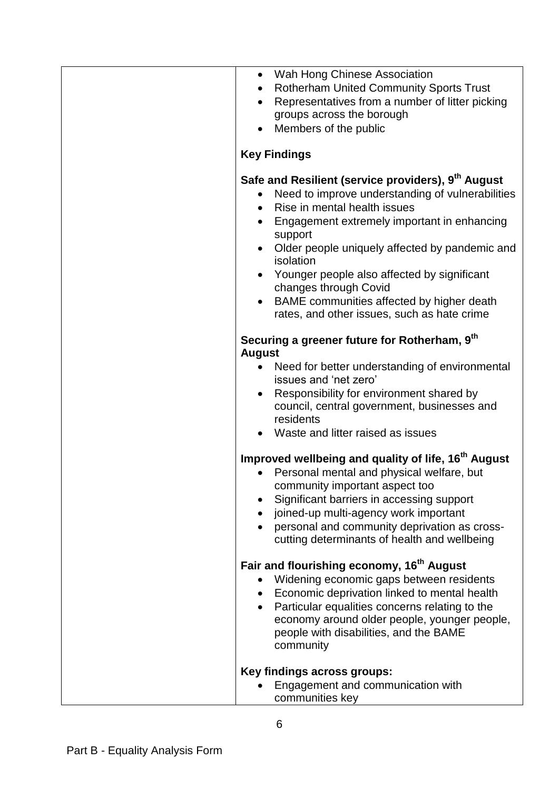| Wah Hong Chinese Association<br>$\bullet$<br><b>Rotherham United Community Sports Trust</b><br>$\bullet$                                                                                                                                                                                                                                                                                                                                             |
|------------------------------------------------------------------------------------------------------------------------------------------------------------------------------------------------------------------------------------------------------------------------------------------------------------------------------------------------------------------------------------------------------------------------------------------------------|
| Representatives from a number of litter picking<br>$\bullet$<br>groups across the borough                                                                                                                                                                                                                                                                                                                                                            |
| Members of the public                                                                                                                                                                                                                                                                                                                                                                                                                                |
| <b>Key Findings</b>                                                                                                                                                                                                                                                                                                                                                                                                                                  |
| Safe and Resilient (service providers), 9 <sup>th</sup> August<br>Need to improve understanding of vulnerabilities<br>$\bullet$<br>Rise in mental health issues<br>$\bullet$<br>Engagement extremely important in enhancing<br>$\bullet$<br>support<br>Older people uniquely affected by pandemic and<br>$\bullet$<br>isolation<br>Younger people also affected by significant<br>changes through Covid<br>BAME communities affected by higher death |
| rates, and other issues, such as hate crime                                                                                                                                                                                                                                                                                                                                                                                                          |
| Securing a greener future for Rotherham, 9th<br><b>August</b>                                                                                                                                                                                                                                                                                                                                                                                        |
| Need for better understanding of environmental<br>$\bullet$<br>issues and 'net zero'<br>Responsibility for environment shared by<br>council, central government, businesses and                                                                                                                                                                                                                                                                      |
| residents                                                                                                                                                                                                                                                                                                                                                                                                                                            |
| • Waste and litter raised as issues                                                                                                                                                                                                                                                                                                                                                                                                                  |
| Improved wellbeing and quality of life, 16 <sup>th</sup> August<br>Personal mental and physical welfare, but<br>community important aspect too<br>Significant barriers in accessing support<br>joined-up multi-agency work important<br>personal and community deprivation as cross-<br>cutting determinants of health and wellbeing                                                                                                                 |
| Fair and flourishing economy, 16 <sup>th</sup> August<br>Widening economic gaps between residents<br>Economic deprivation linked to mental health<br>Particular equalities concerns relating to the<br>economy around older people, younger people,<br>people with disabilities, and the BAME<br>community                                                                                                                                           |
| Key findings across groups:<br>Engagement and communication with<br>communities key                                                                                                                                                                                                                                                                                                                                                                  |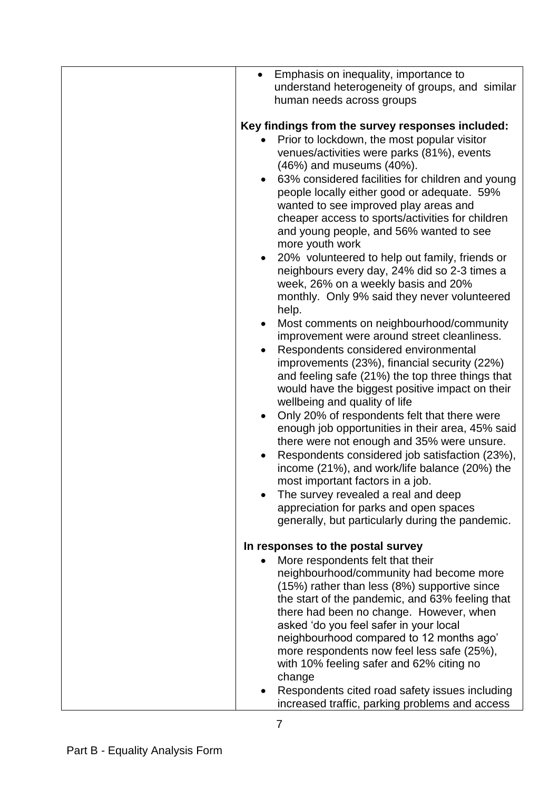| Emphasis on inequality, importance to<br>$\bullet$<br>understand heterogeneity of groups, and similar                                                                                                                                                                                                                                                                                                                                                                                                                                                                                                                                                                                                                                                                                                                                                                                                                                                                                                                                                                                                                                                                                                                                                                                                                                                                                                                                                                            |
|----------------------------------------------------------------------------------------------------------------------------------------------------------------------------------------------------------------------------------------------------------------------------------------------------------------------------------------------------------------------------------------------------------------------------------------------------------------------------------------------------------------------------------------------------------------------------------------------------------------------------------------------------------------------------------------------------------------------------------------------------------------------------------------------------------------------------------------------------------------------------------------------------------------------------------------------------------------------------------------------------------------------------------------------------------------------------------------------------------------------------------------------------------------------------------------------------------------------------------------------------------------------------------------------------------------------------------------------------------------------------------------------------------------------------------------------------------------------------------|
| human needs across groups                                                                                                                                                                                                                                                                                                                                                                                                                                                                                                                                                                                                                                                                                                                                                                                                                                                                                                                                                                                                                                                                                                                                                                                                                                                                                                                                                                                                                                                        |
| Key findings from the survey responses included:<br>Prior to lockdown, the most popular visitor<br>venues/activities were parks (81%), events<br>(46%) and museums (40%).<br>63% considered facilities for children and young<br>$\bullet$<br>people locally either good or adequate. 59%<br>wanted to see improved play areas and<br>cheaper access to sports/activities for children<br>and young people, and 56% wanted to see<br>more youth work<br>20% volunteered to help out family, friends or<br>$\bullet$<br>neighbours every day, 24% did so 2-3 times a<br>week, 26% on a weekly basis and 20%<br>monthly. Only 9% said they never volunteered<br>help.<br>Most comments on neighbourhood/community<br>$\bullet$<br>improvement were around street cleanliness.<br>Respondents considered environmental<br>$\bullet$<br>improvements (23%), financial security (22%)<br>and feeling safe (21%) the top three things that<br>would have the biggest positive impact on their<br>wellbeing and quality of life<br>Only 20% of respondents felt that there were<br>$\bullet$<br>enough job opportunities in their area, 45% said<br>there were not enough and 35% were unsure.<br>Respondents considered job satisfaction (23%),<br>$\bullet$<br>income (21%), and work/life balance (20%) the<br>most important factors in a job.<br>The survey revealed a real and deep<br>appreciation for parks and open spaces<br>generally, but particularly during the pandemic. |
|                                                                                                                                                                                                                                                                                                                                                                                                                                                                                                                                                                                                                                                                                                                                                                                                                                                                                                                                                                                                                                                                                                                                                                                                                                                                                                                                                                                                                                                                                  |
| In responses to the postal survey<br>More respondents felt that their                                                                                                                                                                                                                                                                                                                                                                                                                                                                                                                                                                                                                                                                                                                                                                                                                                                                                                                                                                                                                                                                                                                                                                                                                                                                                                                                                                                                            |
| neighbourhood/community had become more<br>(15%) rather than less (8%) supportive since<br>the start of the pandemic, and 63% feeling that<br>there had been no change. However, when<br>asked 'do you feel safer in your local<br>neighbourhood compared to 12 months ago'<br>more respondents now feel less safe (25%),<br>with 10% feeling safer and 62% citing no<br>change                                                                                                                                                                                                                                                                                                                                                                                                                                                                                                                                                                                                                                                                                                                                                                                                                                                                                                                                                                                                                                                                                                  |
| Respondents cited road safety issues including<br>increased traffic, parking problems and access                                                                                                                                                                                                                                                                                                                                                                                                                                                                                                                                                                                                                                                                                                                                                                                                                                                                                                                                                                                                                                                                                                                                                                                                                                                                                                                                                                                 |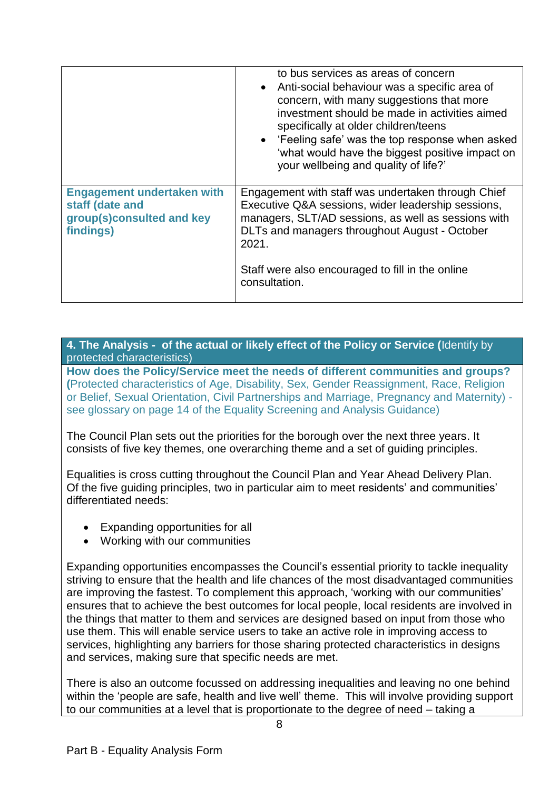|                                                                                                | to bus services as areas of concern<br>• Anti-social behaviour was a specific area of<br>concern, with many suggestions that more<br>investment should be made in activities aimed<br>specifically at older children/teens<br>• 'Feeling safe' was the top response when asked<br>'what would have the biggest positive impact on<br>your wellbeing and quality of life?' |
|------------------------------------------------------------------------------------------------|---------------------------------------------------------------------------------------------------------------------------------------------------------------------------------------------------------------------------------------------------------------------------------------------------------------------------------------------------------------------------|
| <b>Engagement undertaken with</b><br>staff (date and<br>group(s)consulted and key<br>findings) | Engagement with staff was undertaken through Chief<br>Executive Q&A sessions, wider leadership sessions,<br>managers, SLT/AD sessions, as well as sessions with<br>DLTs and managers throughout August - October<br>2021.<br>Staff were also encouraged to fill in the online<br>consultation.                                                                            |

**4. The Analysis - of the actual or likely effect of the Policy or Service (**Identify by protected characteristics)

**How does the Policy/Service meet the needs of different communities and groups? (**Protected characteristics of Age, Disability, Sex, Gender Reassignment, Race, Religion or Belief, Sexual Orientation, Civil Partnerships and Marriage, Pregnancy and Maternity) see glossary on page 14 of the Equality Screening and Analysis Guidance)

The Council Plan sets out the priorities for the borough over the next three years. It consists of five key themes, one overarching theme and a set of guiding principles.

Equalities is cross cutting throughout the Council Plan and Year Ahead Delivery Plan. Of the five guiding principles, two in particular aim to meet residents' and communities' differentiated needs:

- Expanding opportunities for all
- Working with our communities

Expanding opportunities encompasses the Council's essential priority to tackle inequality striving to ensure that the health and life chances of the most disadvantaged communities are improving the fastest. To complement this approach, 'working with our communities' ensures that to achieve the best outcomes for local people, local residents are involved in the things that matter to them and services are designed based on input from those who use them. This will enable service users to take an active role in improving access to services, highlighting any barriers for those sharing protected characteristics in designs and services, making sure that specific needs are met.

There is also an outcome focussed on addressing inequalities and leaving no one behind within the 'people are safe, health and live well' theme. This will involve providing support to our communities at a level that is proportionate to the degree of need – taking a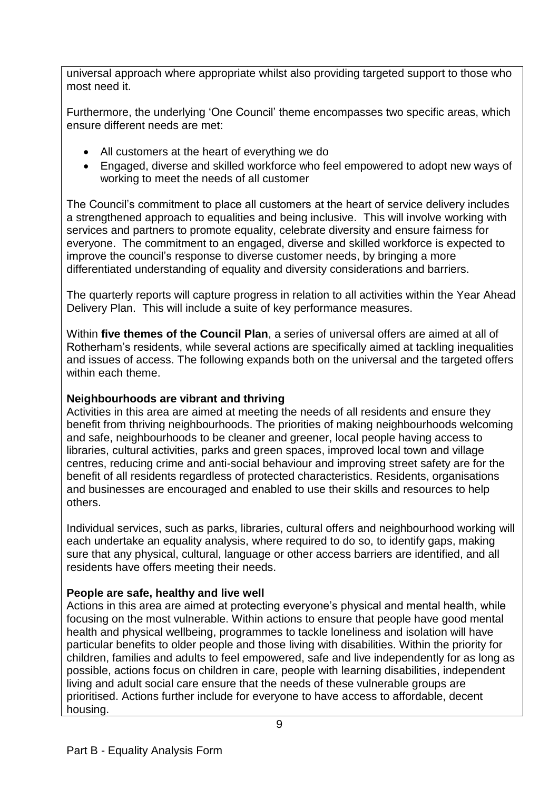universal approach where appropriate whilst also providing targeted support to those who most need it.

Furthermore, the underlying 'One Council' theme encompasses two specific areas, which ensure different needs are met:

- All customers at the heart of everything we do
- Engaged, diverse and skilled workforce who feel empowered to adopt new ways of working to meet the needs of all customer

The Council's commitment to place all customers at the heart of service delivery includes a strengthened approach to equalities and being inclusive. This will involve working with services and partners to promote equality, celebrate diversity and ensure fairness for everyone.The commitment to an engaged, diverse and skilled workforce is expected to improve the council's response to diverse customer needs, by bringing a more differentiated understanding of equality and diversity considerations and barriers.

The quarterly reports will capture progress in relation to all activities within the Year Ahead Delivery Plan. This will include a suite of key performance measures.

Within **five themes of the Council Plan**, a series of universal offers are aimed at all of Rotherham's residents, while several actions are specifically aimed at tackling inequalities and issues of access. The following expands both on the universal and the targeted offers within each theme.

### **Neighbourhoods are vibrant and thriving**

Activities in this area are aimed at meeting the needs of all residents and ensure they benefit from thriving neighbourhoods. The priorities of making neighbourhoods welcoming and safe, neighbourhoods to be cleaner and greener, local people having access to libraries, cultural activities, parks and green spaces, improved local town and village centres, reducing crime and anti-social behaviour and improving street safety are for the benefit of all residents regardless of protected characteristics. Residents, organisations and businesses are encouraged and enabled to use their skills and resources to help others.

Individual services, such as parks, libraries, cultural offers and neighbourhood working will each undertake an equality analysis, where required to do so, to identify gaps, making sure that any physical, cultural, language or other access barriers are identified, and all residents have offers meeting their needs.

# **People are safe, healthy and live well**

Actions in this area are aimed at protecting everyone's physical and mental health, while focusing on the most vulnerable. Within actions to ensure that people have good mental health and physical wellbeing, programmes to tackle loneliness and isolation will have particular benefits to older people and those living with disabilities. Within the priority for children, families and adults to feel empowered, safe and live independently for as long as possible, actions focus on children in care, people with learning disabilities, independent living and adult social care ensure that the needs of these vulnerable groups are prioritised. Actions further include for everyone to have access to affordable, decent housing.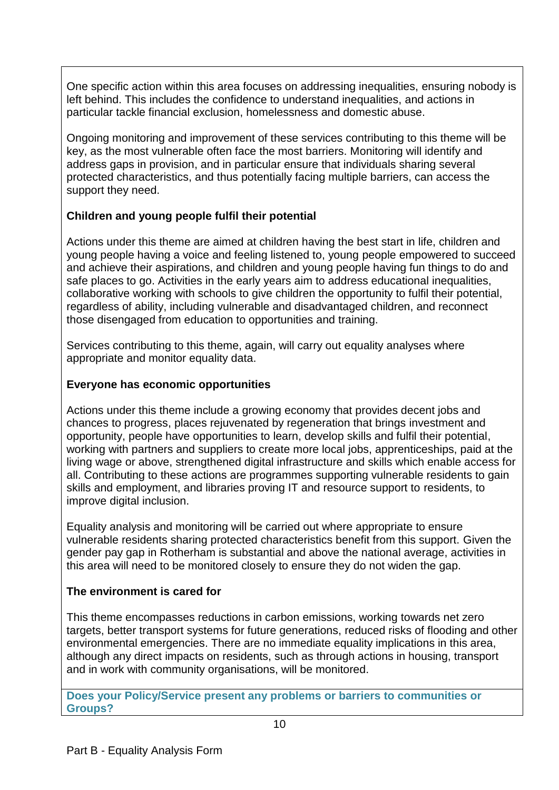One specific action within this area focuses on addressing inequalities, ensuring nobody is left behind. This includes the confidence to understand inequalities, and actions in particular tackle financial exclusion, homelessness and domestic abuse.

Ongoing monitoring and improvement of these services contributing to this theme will be key, as the most vulnerable often face the most barriers. Monitoring will identify and address gaps in provision, and in particular ensure that individuals sharing several protected characteristics, and thus potentially facing multiple barriers, can access the support they need.

### **Children and young people fulfil their potential**

Actions under this theme are aimed at children having the best start in life, children and young people having a voice and feeling listened to, young people empowered to succeed and achieve their aspirations, and children and young people having fun things to do and safe places to go. Activities in the early years aim to address educational inequalities, collaborative working with schools to give children the opportunity to fulfil their potential, regardless of ability, including vulnerable and disadvantaged children, and reconnect those disengaged from education to opportunities and training.

Services contributing to this theme, again, will carry out equality analyses where appropriate and monitor equality data.

### **Everyone has economic opportunities**

Actions under this theme include a growing economy that provides decent jobs and chances to progress, places rejuvenated by regeneration that brings investment and opportunity, people have opportunities to learn, develop skills and fulfil their potential, working with partners and suppliers to create more local jobs, apprenticeships, paid at the living wage or above, strengthened digital infrastructure and skills which enable access for all. Contributing to these actions are programmes supporting vulnerable residents to gain skills and employment, and libraries proving IT and resource support to residents, to improve digital inclusion.

Equality analysis and monitoring will be carried out where appropriate to ensure vulnerable residents sharing protected characteristics benefit from this support. Given the gender pay gap in Rotherham is substantial and above the national average, activities in this area will need to be monitored closely to ensure they do not widen the gap.

### **The environment is cared for**

This theme encompasses reductions in carbon emissions, working towards net zero targets, better transport systems for future generations, reduced risks of flooding and other environmental emergencies. There are no immediate equality implications in this area, although any direct impacts on residents, such as through actions in housing, transport and in work with community organisations, will be monitored.

**Does your Policy/Service present any problems or barriers to communities or Groups?**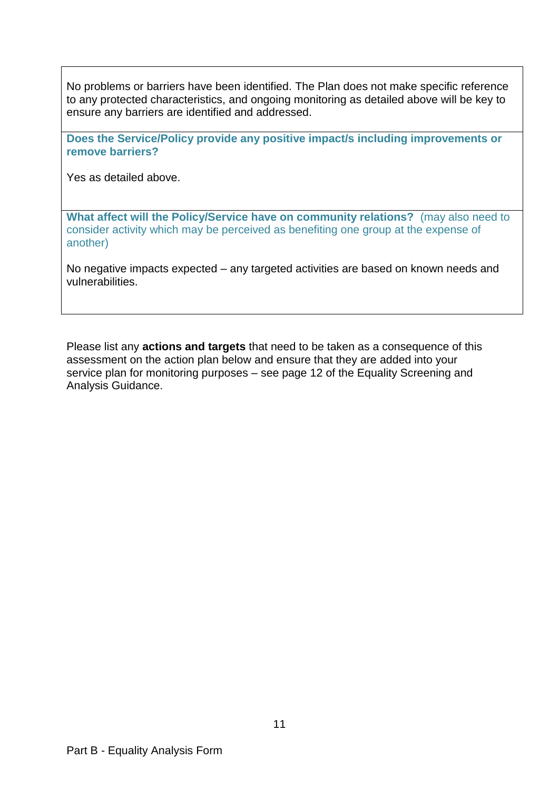No problems or barriers have been identified. The Plan does not make specific reference to any protected characteristics, and ongoing monitoring as detailed above will be key to ensure any barriers are identified and addressed.

**Does the Service/Policy provide any positive impact/s including improvements or remove barriers?** 

Yes as detailed above.

**What affect will the Policy/Service have on community relations?** (may also need to consider activity which may be perceived as benefiting one group at the expense of another)

No negative impacts expected – any targeted activities are based on known needs and vulnerabilities.

Please list any **actions and targets** that need to be taken as a consequence of this assessment on the action plan below and ensure that they are added into your service plan for monitoring purposes – see page 12 of the Equality Screening and Analysis Guidance.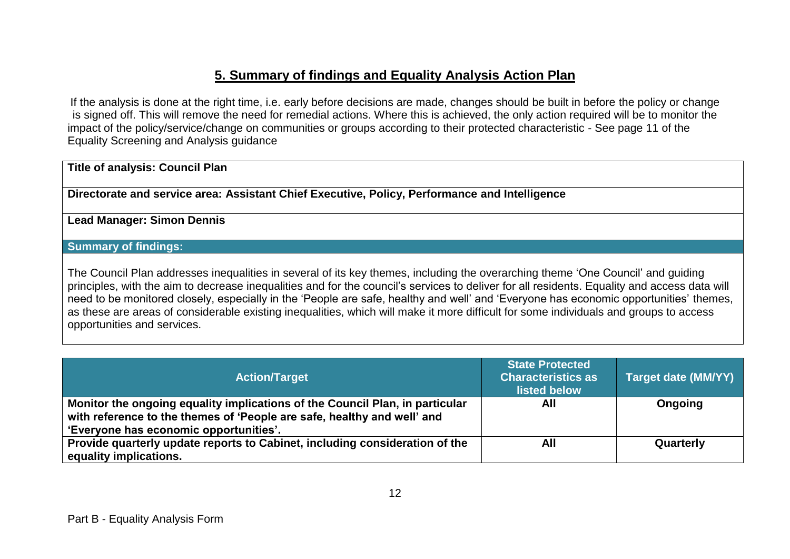# **5. Summary of findings and Equality Analysis Action Plan**

If the analysis is done at the right time, i.e. early before decisions are made, changes should be built in before the policy or change is signed off. This will remove the need for remedial actions. Where this is achieved, the only action required will be to monitor the impact of the policy/service/change on communities or groups according to their protected characteristic - See page 11 of the Equality Screening and Analysis guidance

#### **Title of analysis: Council Plan**

**Directorate and service area: Assistant Chief Executive, Policy, Performance and Intelligence**

#### **Lead Manager: Simon Dennis**

### **Summary of findings:**

The Council Plan addresses inequalities in several of its key themes, including the overarching theme 'One Council' and guiding principles, with the aim to decrease inequalities and for the council's services to deliver for all residents. Equality and access data will need to be monitored closely, especially in the 'People are safe, healthy and well' and 'Everyone has economic opportunities' themes, as these are areas of considerable existing inequalities, which will make it more difficult for some individuals and groups to access opportunities and services.

| <b>Action/Target</b>                                                                                                                                                                              | <b>State Protected</b><br><b>Characteristics as</b><br>listed below | Target date (MM/YY) |
|---------------------------------------------------------------------------------------------------------------------------------------------------------------------------------------------------|---------------------------------------------------------------------|---------------------|
| Monitor the ongoing equality implications of the Council Plan, in particular<br>with reference to the themes of 'People are safe, healthy and well' and<br>'Everyone has economic opportunities'. | All                                                                 | Ongoing             |
| Provide quarterly update reports to Cabinet, including consideration of the<br>equality implications.                                                                                             | All                                                                 | Quarterly           |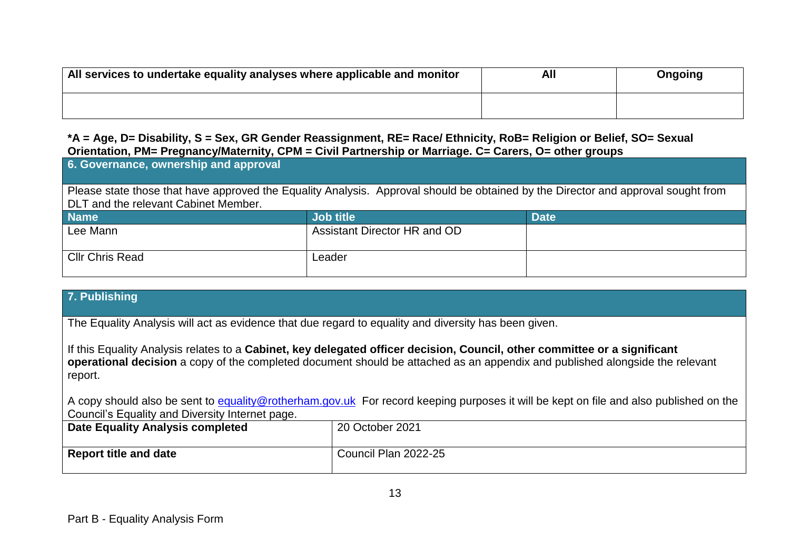| All services to undertake equality analyses where applicable and monitor | All | Ongoing |
|--------------------------------------------------------------------------|-----|---------|
|                                                                          |     |         |

### **\*A = Age, D= Disability, S = Sex, GR Gender Reassignment, RE= Race/ Ethnicity, RoB= Religion or Belief, SO= Sexual Orientation, PM= Pregnancy/Maternity, CPM = Civil Partnership or Marriage. C= Carers, O= other groups**

| 6. Governance, ownership and approval                                                                                                                                     |                              |             |
|---------------------------------------------------------------------------------------------------------------------------------------------------------------------------|------------------------------|-------------|
| Please state those that have approved the Equality Analysis. Approval should be obtained by the Director and approval sought from<br>DLT and the relevant Cabinet Member. |                              |             |
| <b>Name</b>                                                                                                                                                               | <b>Job title</b>             | <b>Date</b> |
| Lee Mann                                                                                                                                                                  | Assistant Director HR and OD |             |
| <b>Cllr Chris Read</b>                                                                                                                                                    | Leader                       |             |

### **7. Publishing**

The Equality Analysis will act as evidence that due regard to equality and diversity has been given.

If this Equality Analysis relates to a **Cabinet, key delegated officer decision, Council, other committee or a significant operational decision** a copy of the completed document should be attached as an appendix and published alongside the relevant report.

A copy should also be sent to [equality@rotherham.gov.uk](mailto:equality@rotherham.gov.uk) For record keeping purposes it will be kept on file and also published on the Council's Equality and Diversity Internet page.

| <b>Date Equality Analysis completed</b> | 20 October 2021      |
|-----------------------------------------|----------------------|
| <b>Report title and date</b>            | Council Plan 2022-25 |